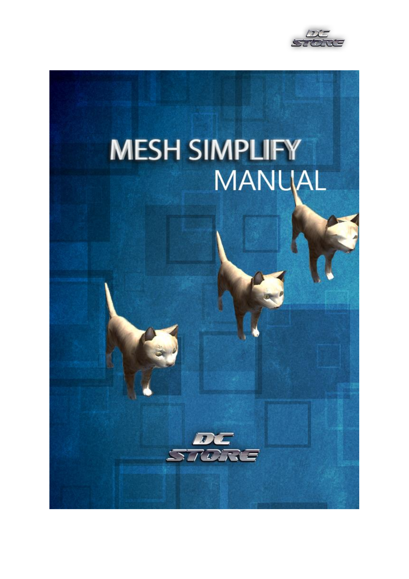

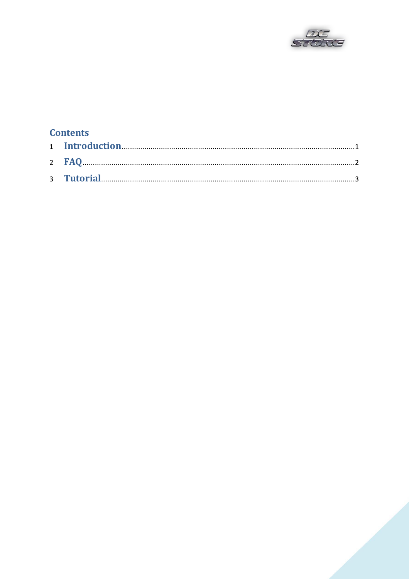

## **Contents**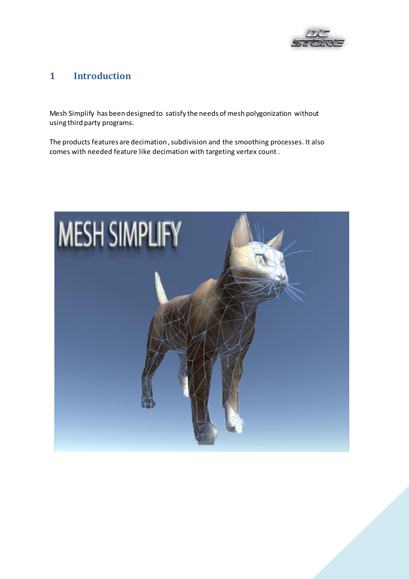

#### $\mathbf{1}$ **1 Introduction**

Mesh Simplify has been designed to satisfy the needs of mesh polygonization without using third party programs.

The products features are decimation , subdivision and the smoothing processes. It also comes with needed feature like decimation with targeting vertex count .

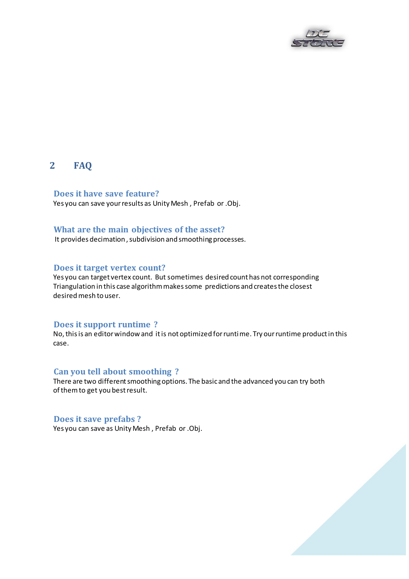

### **2 FAQ**

**Does it have save feature?**  Yes you can save your results as Unity Mesh , Prefab or .Obj.

### **What are the main objectives of the asset?**

It provides decimation , subdivision and smoothing processes.

#### **Does it target vertex count?**

 Yes you can target vertex count. But sometimes desired count has not corresponding Triangulation in this case algorithm makes some predictions and creates the closest desired mesh to user.

#### **Does it support runtime ?**

 No, this is an editor window and it is not optimized for runtime. Try ourruntime product in this case.

### **Can you tell about smoothing ?**

 There are two different smoothing options. The basic and the advanced you can try both of them to get you best result.

#### **Does it save prefabs ?**

Yes you can save as Unity Mesh , Prefab or .Obj.

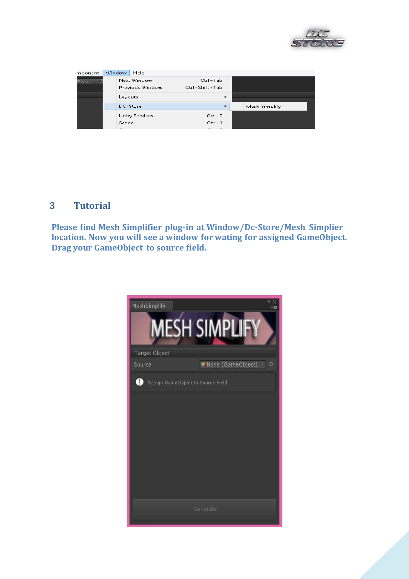

| mponent | Window <sub>1</sub> | Help            |                |                      |               |  |
|---------|---------------------|-----------------|----------------|----------------------|---------------|--|
| Pivot   |                     | Next Window     |                | Ctrl+Tab             |               |  |
|         |                     | Previous Window | Ctrl+Shift+Tab |                      |               |  |
|         | Layouts             |                 |                | ٠                    |               |  |
|         |                     | DC-Store        |                | ٠                    | Mesh Simplify |  |
|         |                     | Unity Services  |                | $Ctrl + 0$           |               |  |
|         | Scene               |                 |                | $Ctrl + 1$           |               |  |
|         | -                   |                 |                | $\sim$ $\sim$ $\sim$ |               |  |

### **3 Tutorial**

**Please find Mesh Simplifier plug-in at Window/Dc-Store/Mesh Simplier location. Now you will see a window for wating for assigned GameObject. Drag your GameObject to source field.**

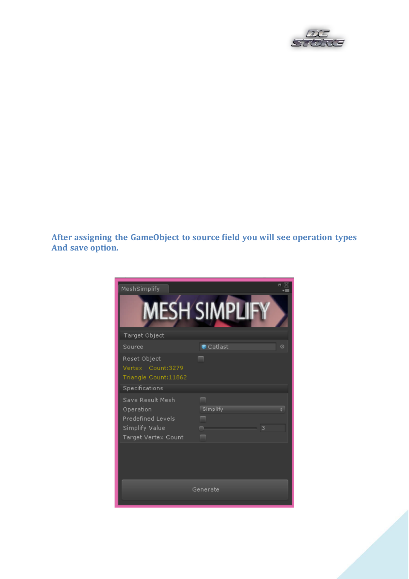

**After assigning the GameObject to source field you will see operation types And save option.** 

| MeshSimplify<br>Target Object                                                               | <b>MESH SIMPLI</b> |         |
|---------------------------------------------------------------------------------------------|--------------------|---------|
| Source                                                                                      | Catlast            | $\circ$ |
| Reset Object<br>Vertex Count:3279<br>Triangle Count:11862<br>Specifications                 | ▄                  |         |
| Save Result Mesh<br>Operation<br>Predefined Levels<br>Simplify Value<br>Target Vertex Count | Simplify<br>3      |         |
|                                                                                             | Generate           |         |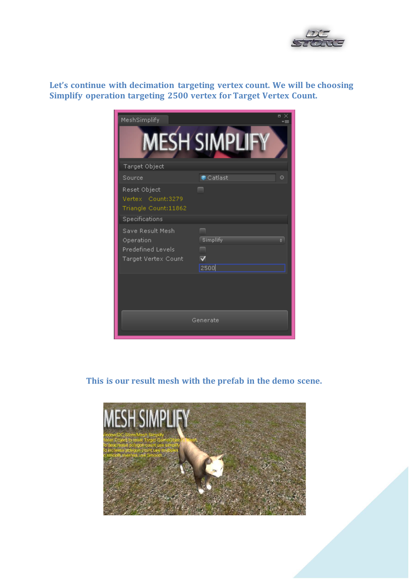

**Let's continue with decimation targeting vertex count. We will be choosing Simplify operation targeting 2500 vertex for Target Vertex Count.**



**This is our result mesh with the prefab in the demo scene.**

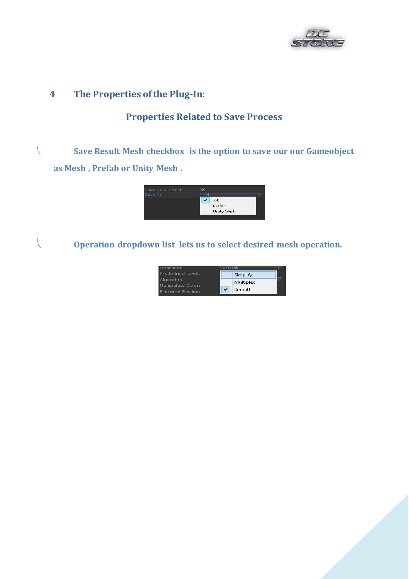

### **4 The Properties of the Plug-In:**

### **Properties Related to Save Process**

 **Save Result Mesh checkbox is the option to save our our Gameobject as Mesh , Prefab or Unity Mesh .**



**Operation dropdown list lets us to select desired mesh operation.**



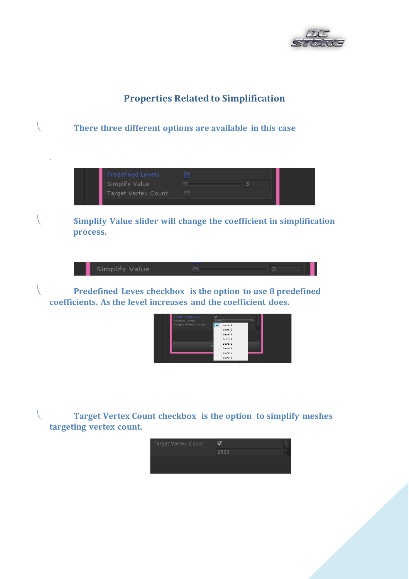

## **Properties Related to Simplification**



 **Target Vertex Count checkbox is the option to simplify meshes targeting vertex count.**

| Target Vertex Count |      |  |
|---------------------|------|--|
|                     | 2500 |  |
|                     |      |  |
|                     |      |  |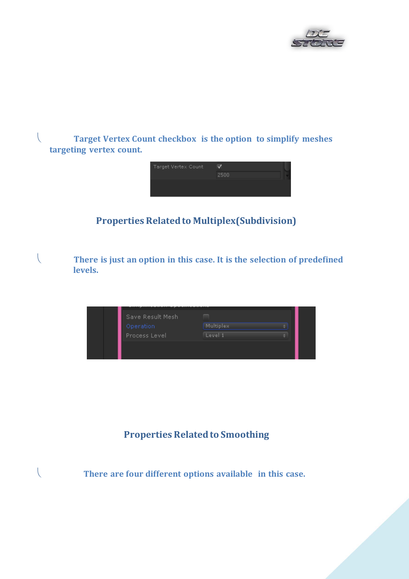

 **Target Vertex Count checkbox is the option to simplify meshes targeting vertex count.**



## **Properties Related to Multiplex(Subdivision)**

 **There is just an option in this case. It is the selection of predefined levels.**

| Save Result Mesh |                  |
|------------------|------------------|
| Operation        | <b>Multiplex</b> |
| Process Level    | Level 1          |
|                  |                  |
|                  |                  |

## **Properties Related to Smoothing**

 **There are four different options available in this case.**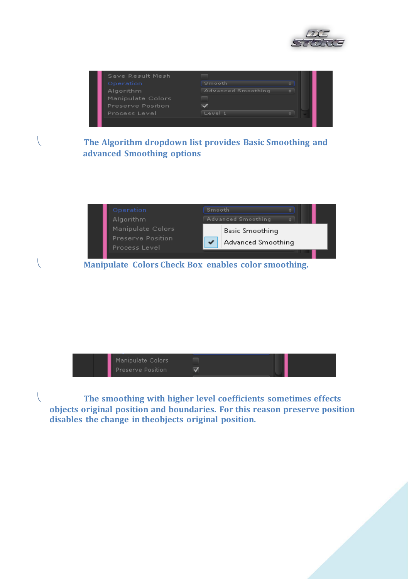

| Save Result Mesh         |                           |  |
|--------------------------|---------------------------|--|
| Operation                | Smooth                    |  |
| Algorithm                | <b>Advanced Smoothing</b> |  |
| Manipulate Colors        |                           |  |
| <b>Preserve Position</b> |                           |  |
| Process Level            | 1 أوربو ا                 |  |
|                          |                           |  |

 **The Algorithm dropdown list provides Basic Smoothing and advanced Smoothing options** 



 **Manipulate Colors Check Box enables color smoothing.** 



 **The smoothing with higher level coefficients sometimes effects objects original position and boundaries. For this reason preserve position disables the change in theobjects original position.**